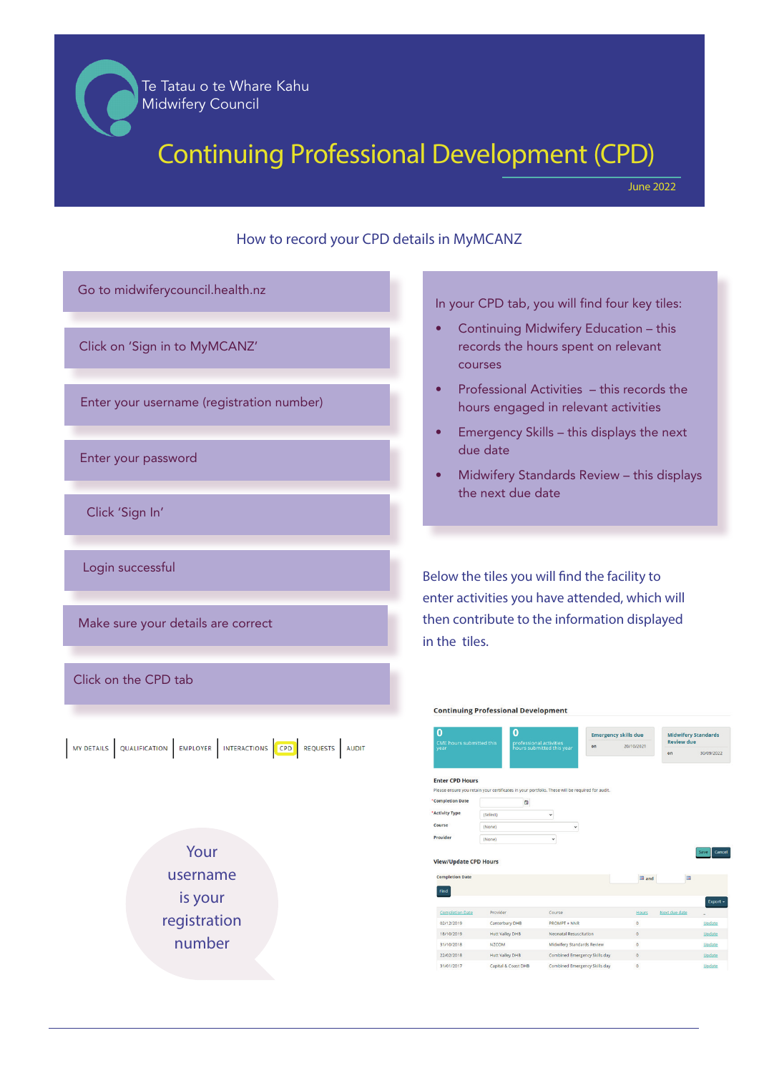### **Te Tatau o te Whare Kahu** Te Tatau o te Whare Kahu **Midwifery Council** Midwifery Council

# Continuing Professional Development (CPD)

June 2022

### How to record your CPD details in MyMCANZ



In your CPD tab, you will find four key tiles:

- Continuing Midwifery Education this records the hours spent on relevant courses
- Professional Activities this records the hours engaged in relevant activities
- Emergency Skills this displays the next due date
- Midwifery Standards Review this displays the next due date

Below the tiles you will find the facility to enter activities you have attended, which will then contribute to the information displayed in the tiles.

#### Midwifery Standards<br>Review due Emergency skills due  $20/10/2021$ **Enter CPD Hours** ficates in your portfolio. These will be ren **Completion Date**  $\Omega$ **Activity Type** icalar (None) View/Update CPD Hours **Completion Date Change** Completion Date 02/12/2019 PROMPT + NNR Canterbury DHB 18/10/2019 Hutt Valley DHB Neonatal Resuscitation 31/10/2018 **NZCOM** Midwifery Standards Revie 22/02/2018 Hutt Valley DHB Combined Emergency Skills day 31/01/2017 Capital & Coast DHB Combined Emergency Skills day